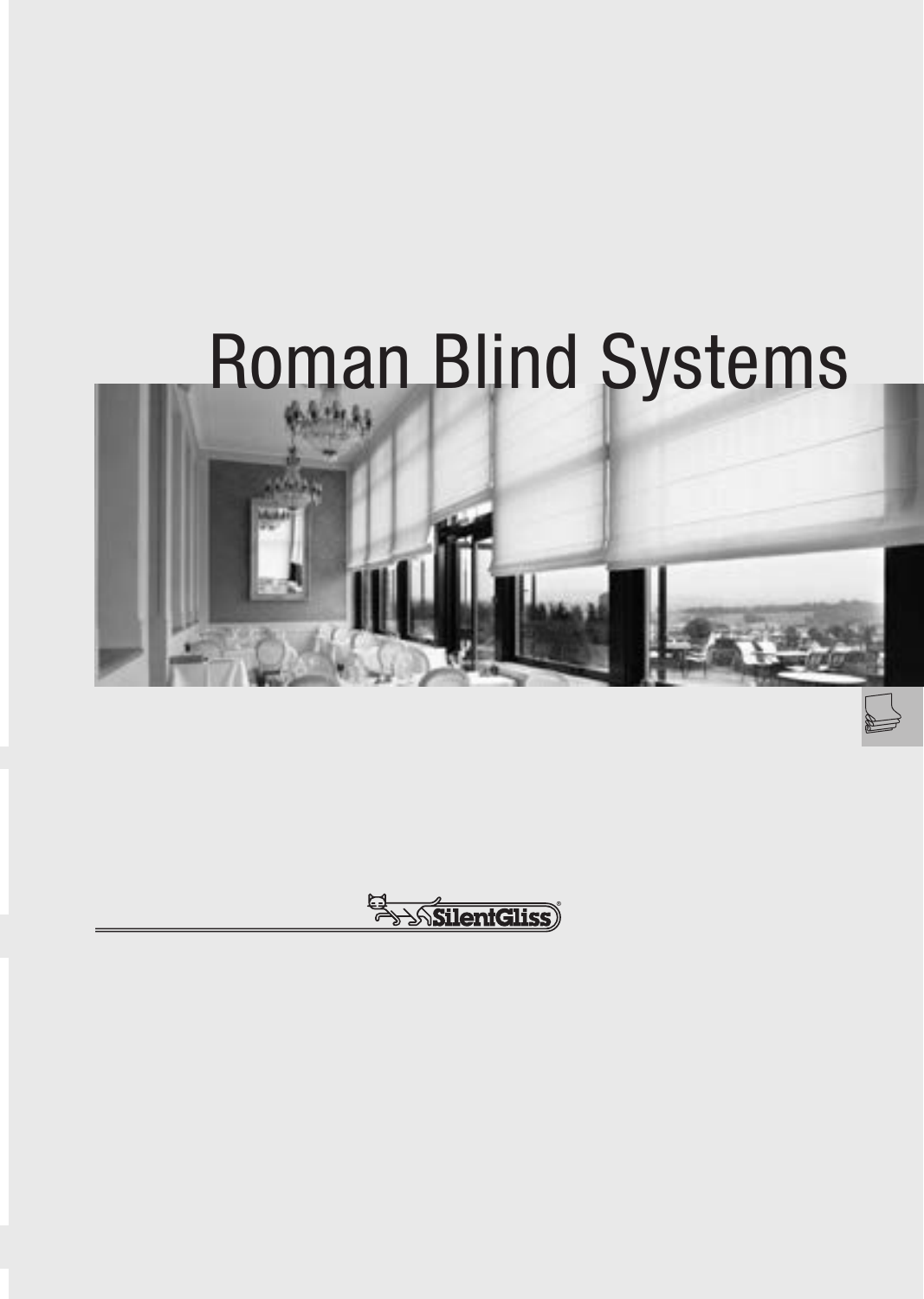# Roman Blind Systems



El AsilentGliss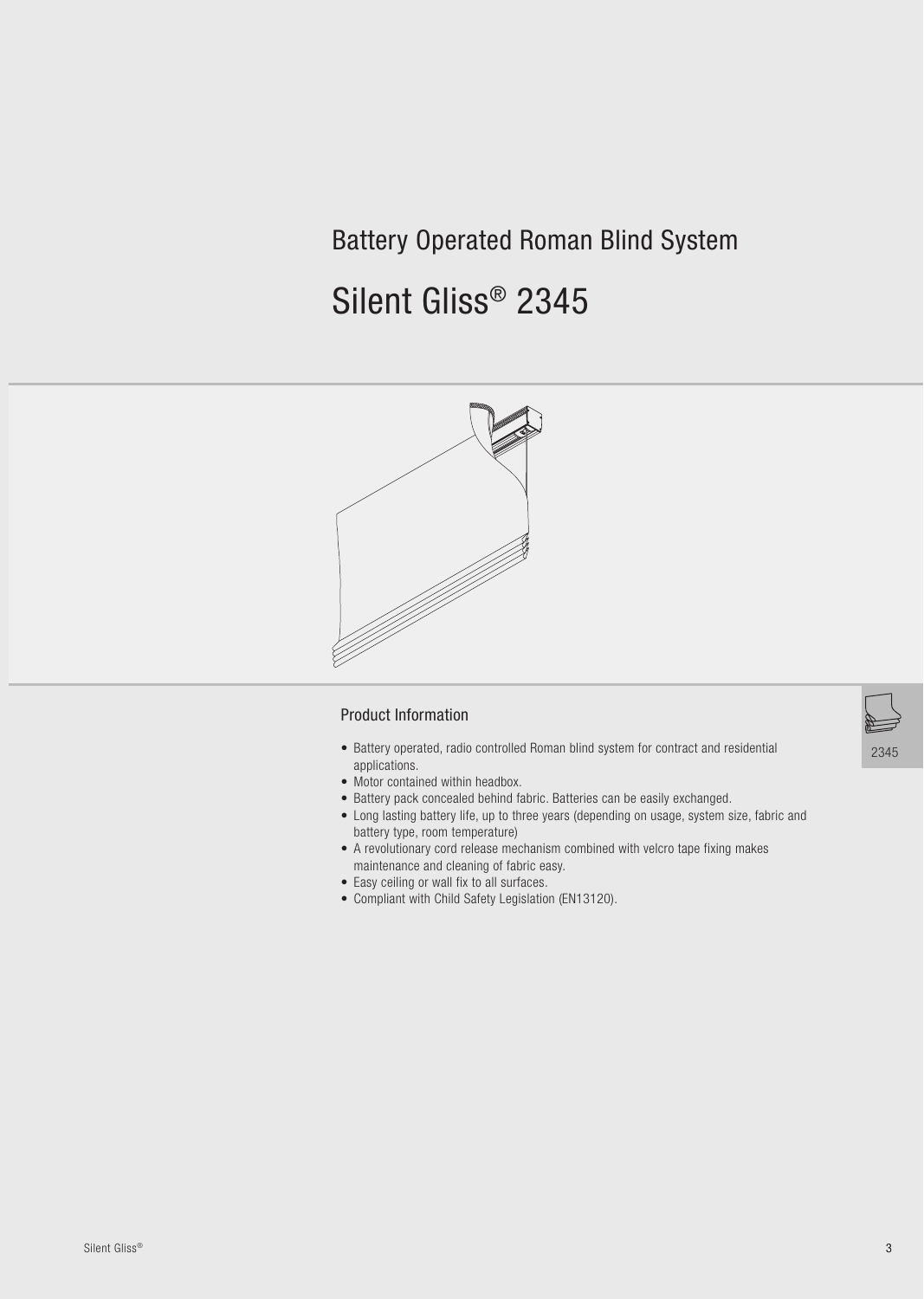# **Battery Operated Roman Blind System**

# Silent Gliss® 2345



#### **Product Information**

- Battery operated, radio controlled Roman blind system for contract and residential applications.
- Motor contained within headbox.
- Battery pack concealed behind fabric. Batteries can be easily exchanged.
- Long lasting battery life, up to three years (depending on usage, system size, fabric and battery type, room temperature)
- A revolutionary cord release mechanism combined with velcro tape fixing makes maintenance and cleaning of fabric easy.
- Easy ceiling or wall fix to all surfaces.
- Compliant with Child Safety Legislation (EN13120).

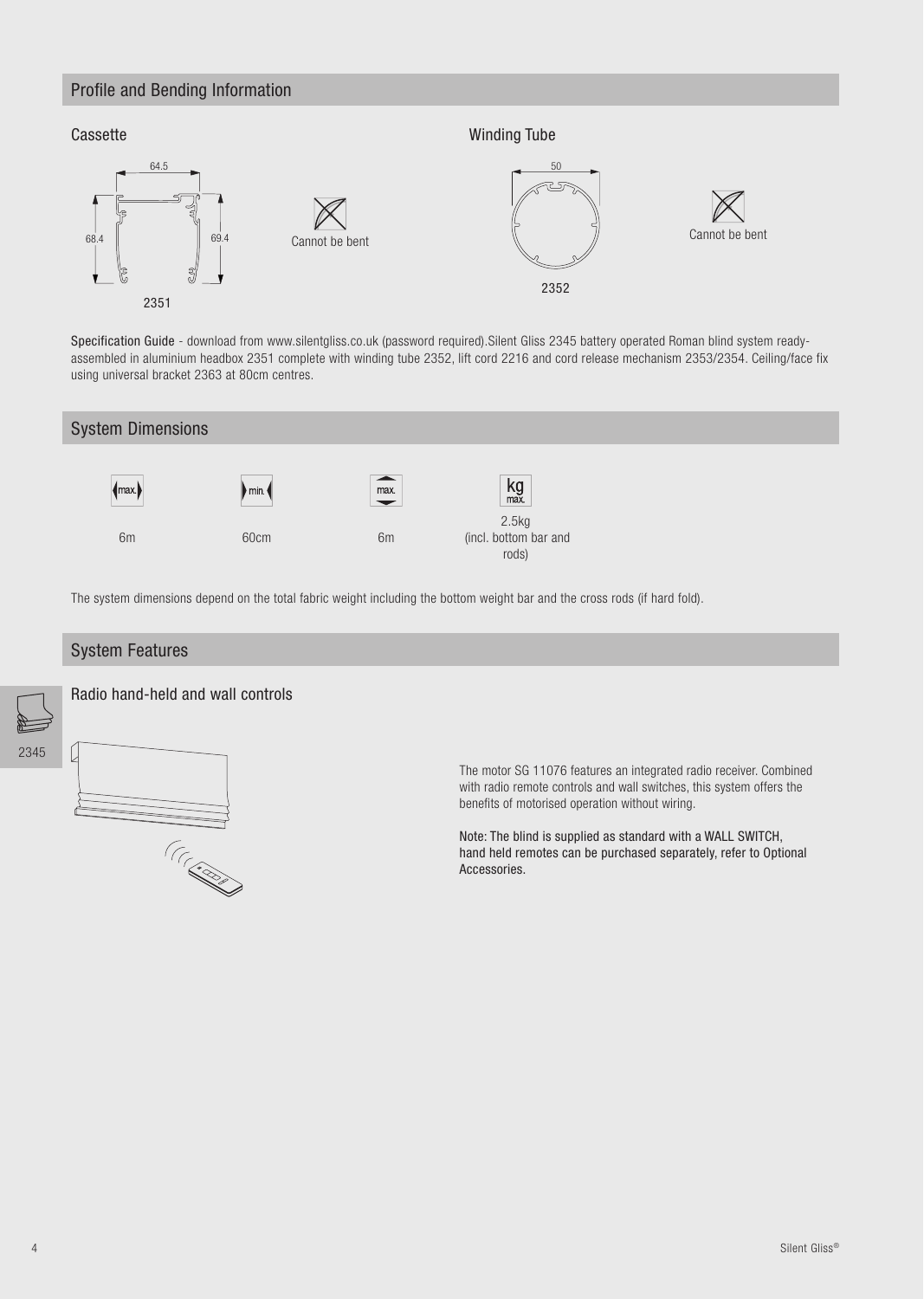#### Profile and Bending Information

**CONSTRUCTION** 



Specification Guide - download from www.silentgliss.co.uk (password required). Silent Gliss 2345 battery operated Roman blind system readyassembled in aluminium headbox 2351 complete with winding tube 2352, lift cord 2216 and cord release mechanism 2353/2354. Ceiling/face fix using universal bracket 2363 at 80cm centres.





Note: The blind is supplied as standard with a WALL SWITCH, hand held remotes can be purchased separately, refer to Optional Accessories.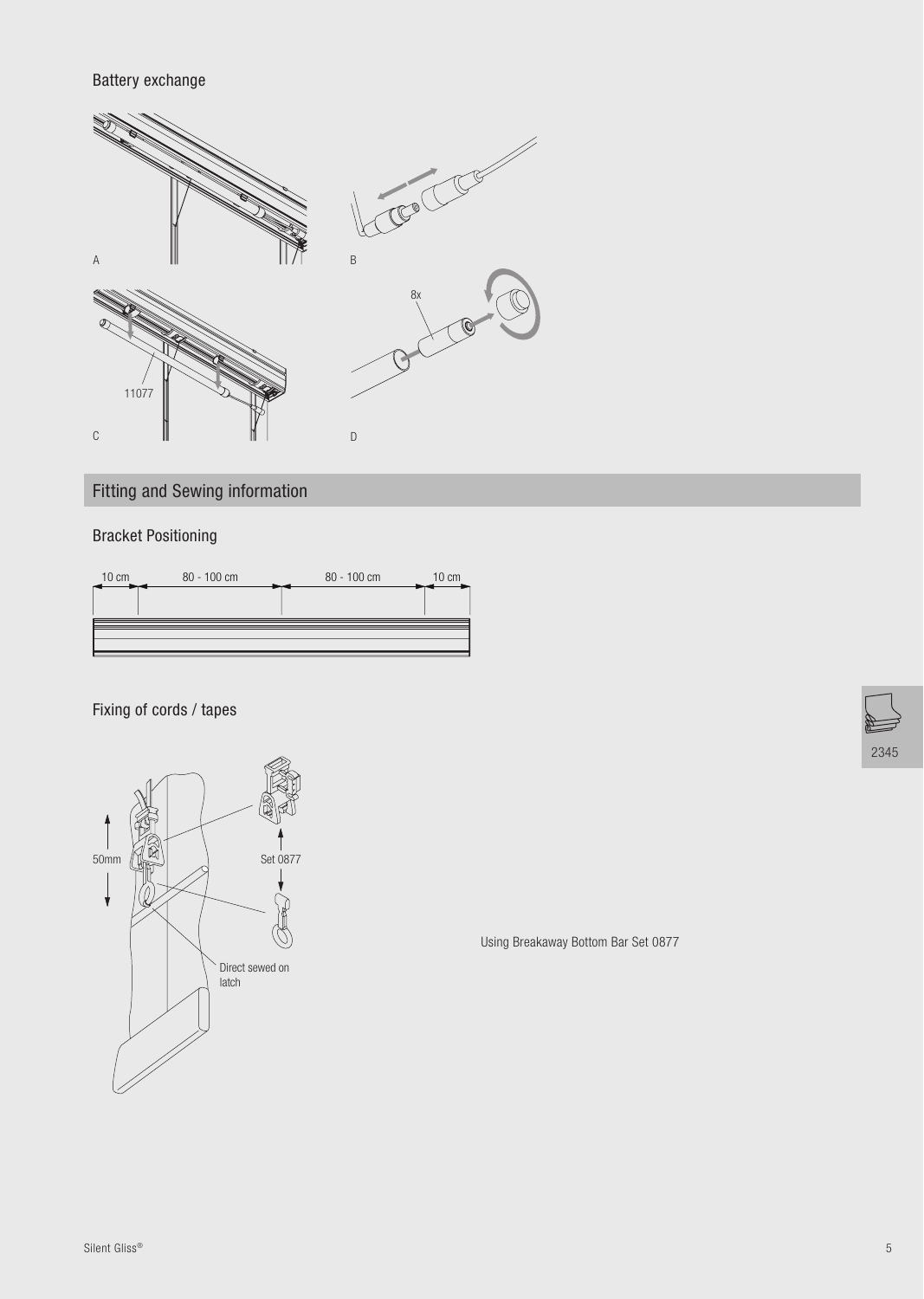Battery exchange



Fitting and Sewing information

## Bracket Positioning



Fixing of cords / tapes



Using Breakaway Bottom Bar Set 0877

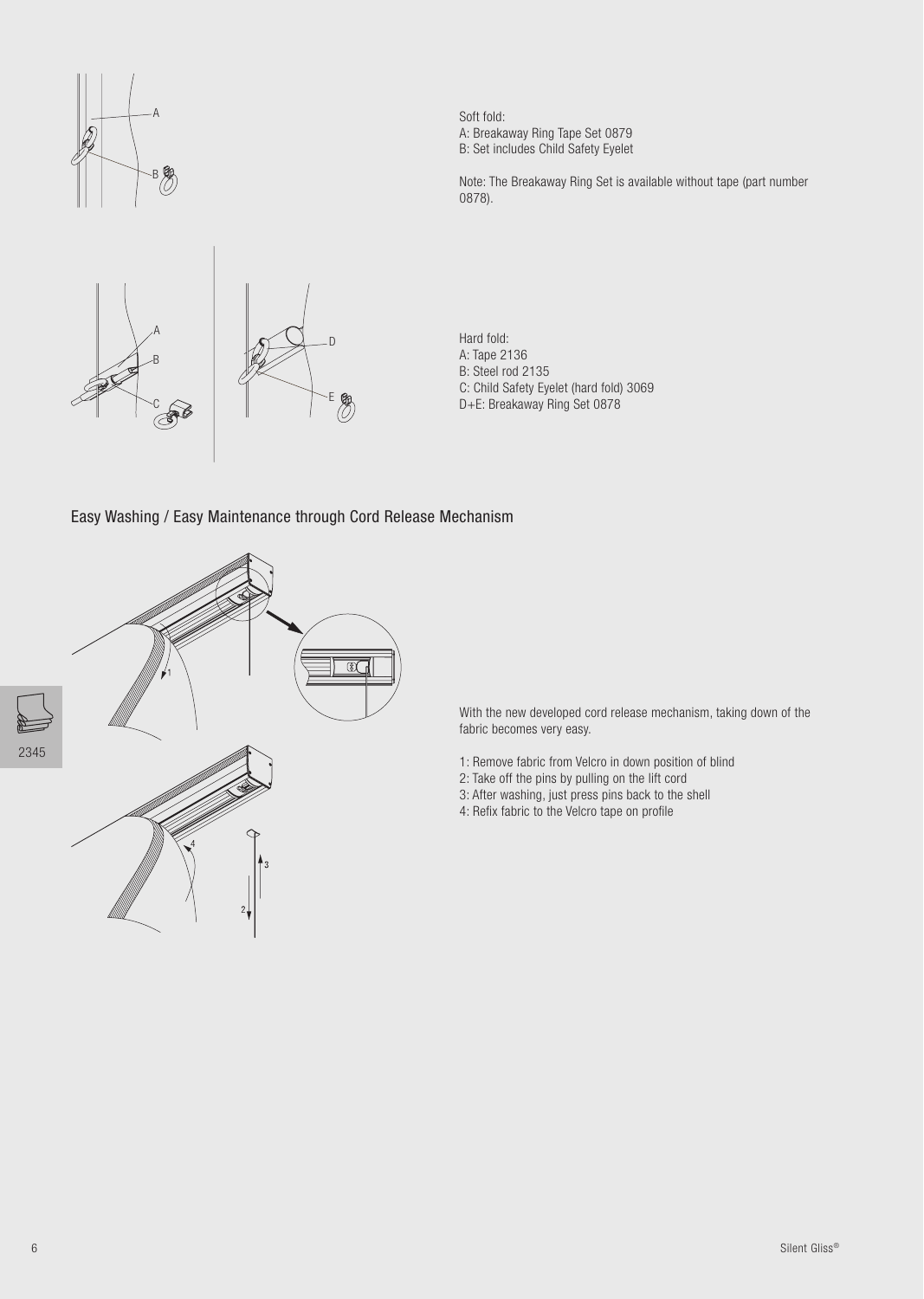



Soft fold: A: Breakaway Ring Tape Set 0879 B: Set includes Child Safety Eyelet

Note: The Breakaway Ring Set is available without tape (part number 0878).

Hard fold: A: Tape 2136 B: Steel rod 2135 C: Child Safety Eyelet (hard fold) 3069 D+E: Breakaway Ring Set 0878

Easy Washing / Easy Maintenance through Cord Release Mechanism



With the new developed cord release mechanism, taking down of the fabric becomes very easy.

- 1: Remove fabric from Velcro in down position of blind
- 2: Take off the pins by pulling on the lift cord
- 3: After washing, just press pins back to the shell
- 4: Refix fabric to the Velcro tape on profile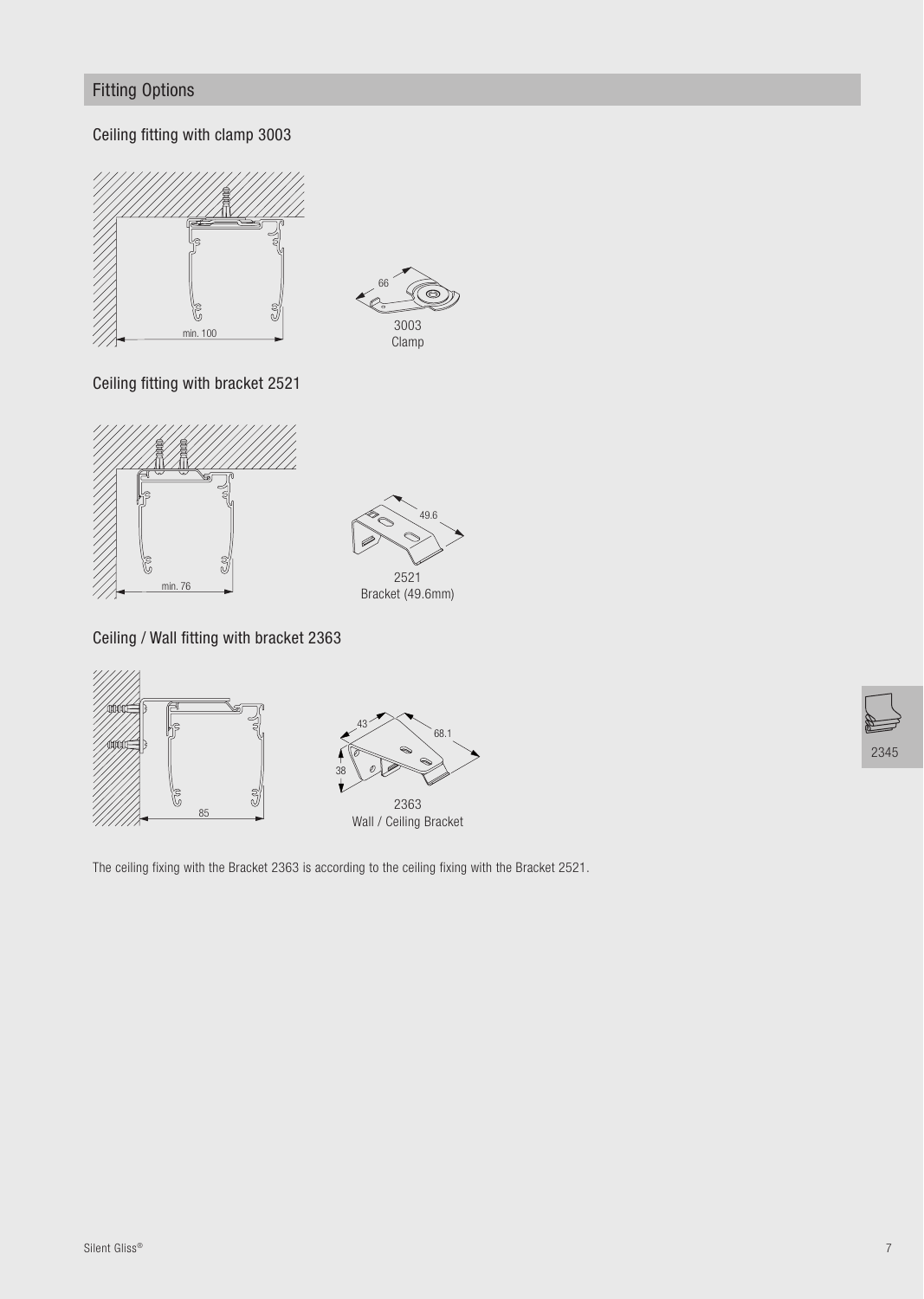# **Fitting Options**

Ceiling fitting with clamp 3003





Ceiling fitting with bracket 2521





Ceiling / Wall fitting with bracket 2363





The ceiling fixing with the Bracket 2363 is according to the ceiling fixing with the Bracket 2521.

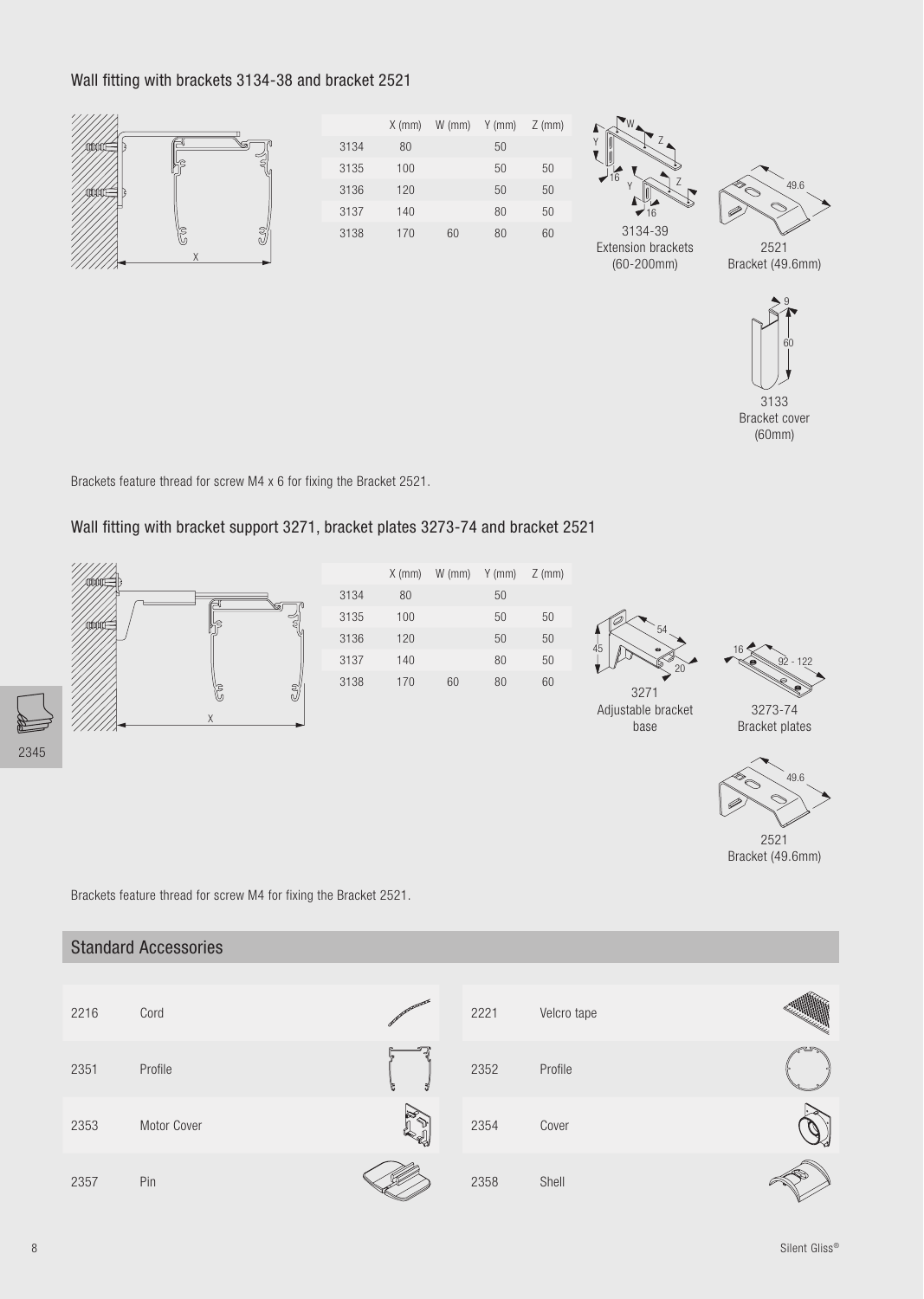#### Wall fitting with brackets 3134-38 and bracket 2521



|      | $X$ (mm) | $W$ (mm) | $Y$ (mm) | $Z$ (mm) |
|------|----------|----------|----------|----------|
| 3134 | 80       |          | 50       |          |
| 3135 | 100      |          | 50       | 50       |
| 3136 | 120      |          | 50       | 50       |
| 3137 | 140      |          | 80       | 50       |
| 3138 | 170      | 60       | 80       | 60       |





Bracket (49.6mm)

**Extension brackets**  $(60 - 200$ mm $)$ 



3133 Bracket cover  $(60mm)$ 

Brackets feature thread for screw M4 x 6 for fixing the Bracket 2521.

#### Wall fitting with bracket support 3271, bracket plates 3273-74 and bracket 2521



|      | $X$ (mm) | $W$ (mm) | $Y$ (mm) | $Z$ (mm |
|------|----------|----------|----------|---------|
| 3134 | 80       |          | 50       |         |
| 3135 | 100      |          | 50       | 50      |
| 3136 | 120      |          | 50       | 50      |
| 3137 | 140      |          | 80       | 50      |
| 3138 | 170      | 60       | 80       | 60      |
|      |          |          |          |         |





Adjustable bracket base

3273-74 **Bracket plates** 



2521 Bracket (49.6mm)

Brackets feature thread for screw M4 for fixing the Bracket 2521.

|      | <b>Standard Accessories</b> |     |      |             |  |
|------|-----------------------------|-----|------|-------------|--|
|      |                             |     |      |             |  |
| 2216 | Cord                        |     | 2221 | Velcro tape |  |
| 2351 | Profile                     |     | 2352 | Profile     |  |
| 2353 | Motor Cover                 | is. | 2354 | Cover       |  |
| 2357 | Pin                         |     | 2358 | Shell       |  |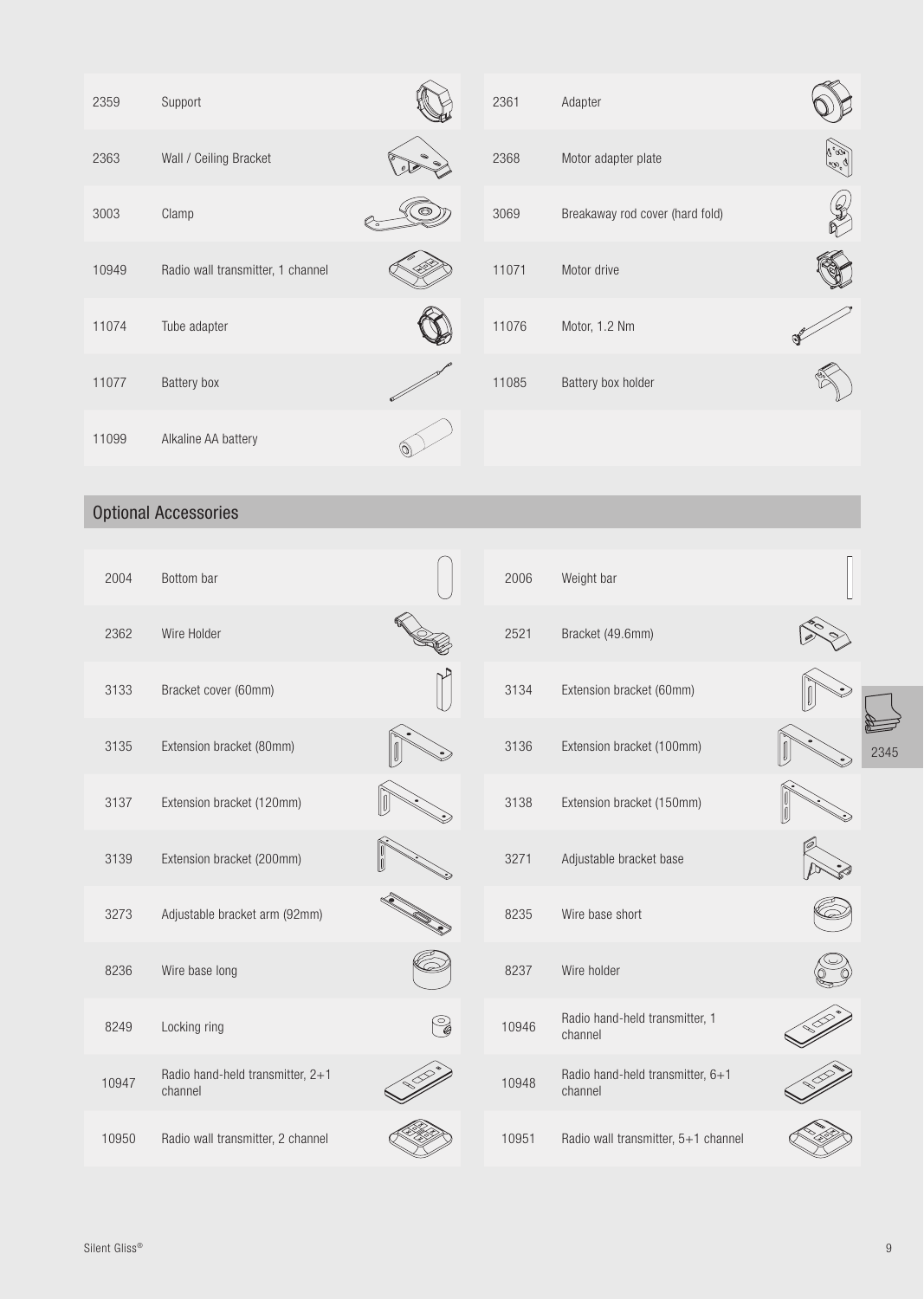| 2359  | Support                                     |    | 2361  | Adapter                                     |                                             |
|-------|---------------------------------------------|----|-------|---------------------------------------------|---------------------------------------------|
| 2363  | Wall / Ceiling Bracket                      |    | 2368  | Motor adapter plate                         | میں جاتا<br>اس                              |
| 3003  | Clamp                                       |    | 3069  | Breakaway rod cover (hard fold)             | $\begin{pmatrix} 0 \\ 0 \\ 0 \end{pmatrix}$ |
| 10949 | Radio wall transmitter, 1 channel           |    | 11071 | Motor drive                                 |                                             |
| 11074 | Tube adapter                                |    | 11076 | Motor, 1.2 Nm                               |                                             |
| 11077 | Battery box                                 |    | 11085 | Battery box holder                          |                                             |
| 11099 | Alkaline AA battery                         |    |       |                                             |                                             |
|       | <b>Optional Accessories</b>                 |    |       |                                             |                                             |
|       |                                             |    |       |                                             |                                             |
| 2004  | Bottom bar                                  |    | 2006  | Weight bar                                  |                                             |
| 2362  | Wire Holder                                 |    | 2521  | Bracket (49.6mm)                            |                                             |
| 3133  | Bracket cover (60mm)                        |    | 3134  | Extension bracket (60mm)                    |                                             |
| 3135  | Extension bracket (80mm)                    | し  | 3136  | Extension bracket (100mm)                   |                                             |
| 3137  | Extension bracket (120mm)                   | IV | 3138  | Extension bracket (150mm)                   |                                             |
| 3139  | Extension bracket (200mm)                   |    | 3271  | Adjustable bracket base                     |                                             |
| 3273  | Adjustable bracket arm (92mm)               |    | 8235  | Wire base short                             |                                             |
| 8236  | Wire base long                              |    | 8237  | Wire holder                                 |                                             |
| 8249  | Locking ring                                | C  | 10946 | Radio hand-held transmitter, 1<br>channel   |                                             |
| 10947 | Radio hand-held transmitter, 2+1<br>channel |    | 10948 | Radio hand-held transmitter, 6+1<br>channel |                                             |
| 10950 | Radio wall transmitter, 2 channel           |    | 10951 | Radio wall transmitter, 5+1 channel         |                                             |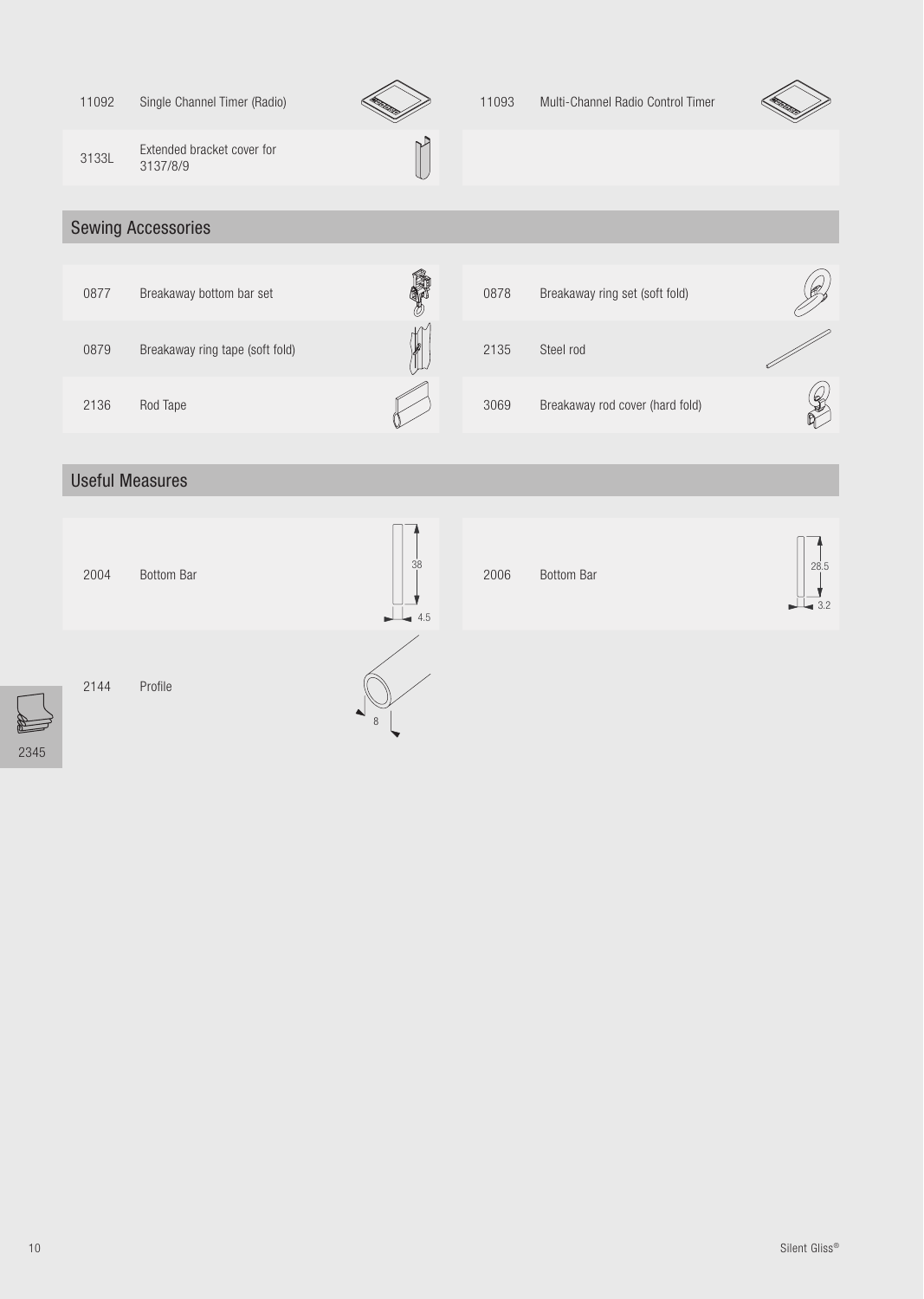| 11092 | Single Channel Timer (Radio)           |           | 11093 | Multi-Channel Radio Control Timer |      |
|-------|----------------------------------------|-----------|-------|-----------------------------------|------|
| 3133L | Extended bracket cover for<br>3137/8/9 |           |       |                                   |      |
|       | <b>Sewing Accessories</b>              |           |       |                                   |      |
| 0877  | Breakaway bottom bar set               |           | 0878  | Breakaway ring set (soft fold)    |      |
| 0879  | Breakaway ring tape (soft fold)        |           | 2135  | Steel rod                         |      |
| 2136  | Rod Tape                               |           | 3069  | Breakaway rod cover (hard fold)   |      |
|       | <b>Useful Measures</b>                 |           |       |                                   |      |
| 2004  | Bottom Bar                             | 38<br>4.5 | 2006  | <b>Bottom Bar</b>                 | 28.5 |
| 2144  | Profile                                |           |       |                                   |      |

2345

E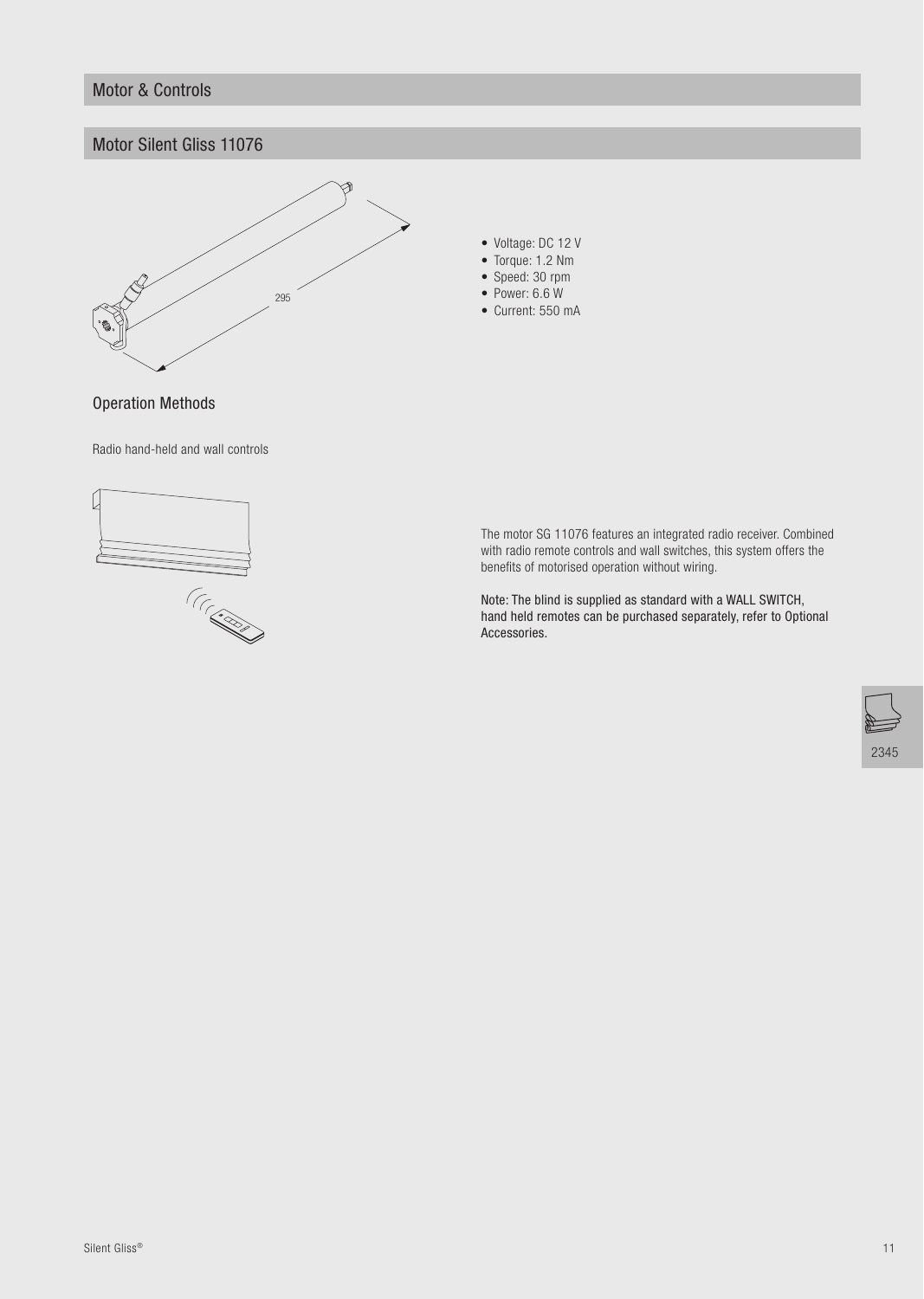#### **Motor & Controls**

#### Motor Silent Gliss 11076



- Voltage: DC 12 V
- $\bullet$  Torque: 1.2 Nm
- Speed: 30 rpm
- $\bullet$  Power: 6.6 W • Current: 550 mA

**Operation Methods** 

Radio hand-held and wall controls



The motor SG 11076 features an integrated radio receiver. Combined with radio remote controls and wall switches, this system offers the benefits of motorised operation without wiring.

Note: The blind is supplied as standard with a WALL SWITCH, hand held remotes can be purchased separately, refer to Optional Accessories.

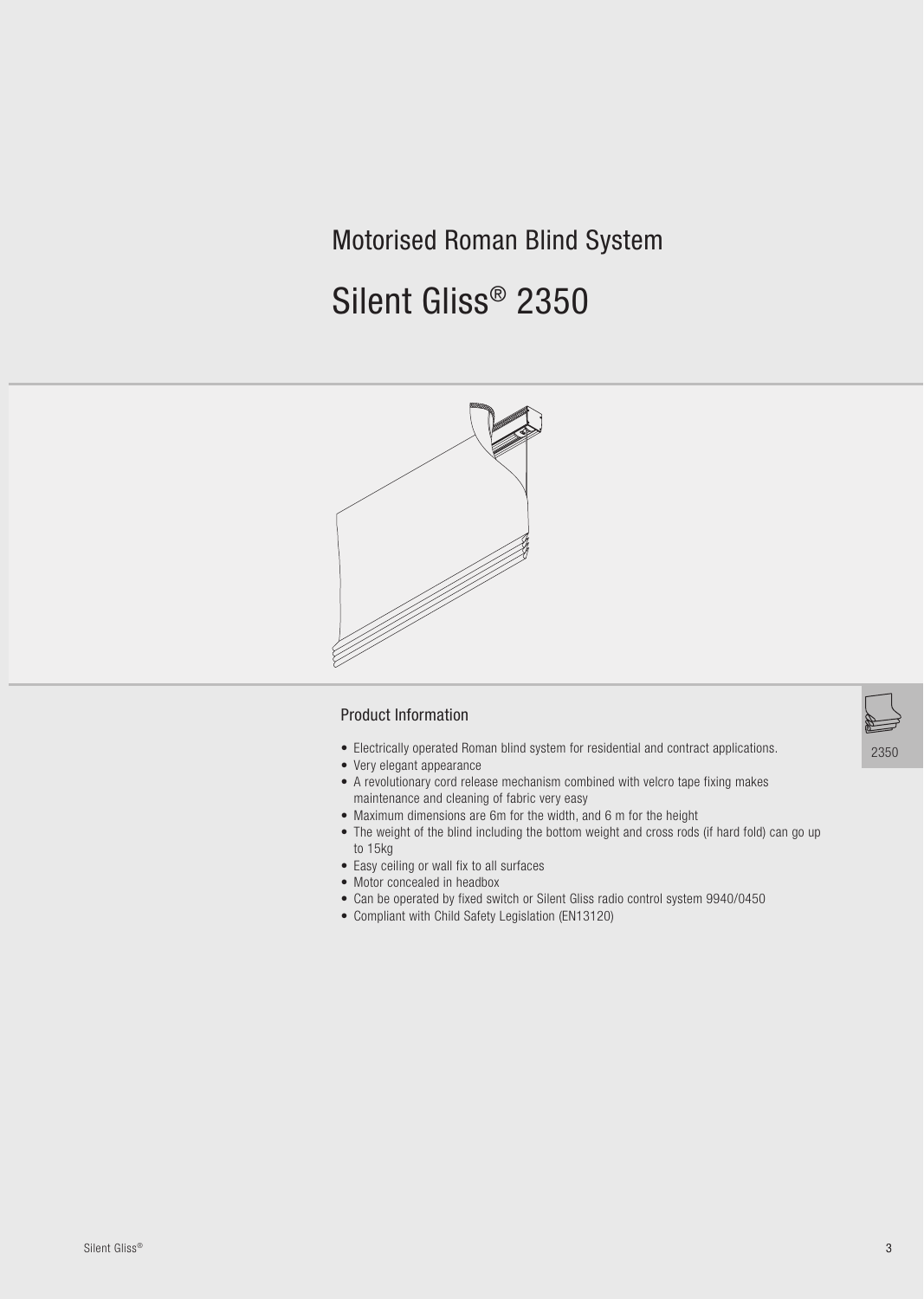# **Motorised Roman Blind System**

# Silent Gliss® 2350



#### **Product Information**

- Electrically operated Roman blind system for residential and contract applications.
- Very elegant appearance
- A revolutionary cord release mechanism combined with velcro tape fixing makes maintenance and cleaning of fabric very easy
- Maximum dimensions are 6m for the width, and 6 m for the height
- The weight of the blind including the bottom weight and cross rods (if hard fold) can go up to 15kg
- Easy ceiling or wall fix to all surfaces
- Motor concealed in headbox
- Can be operated by fixed switch or Silent Gliss radio control system 9940/0450
- Compliant with Child Safety Legislation (EN13120)

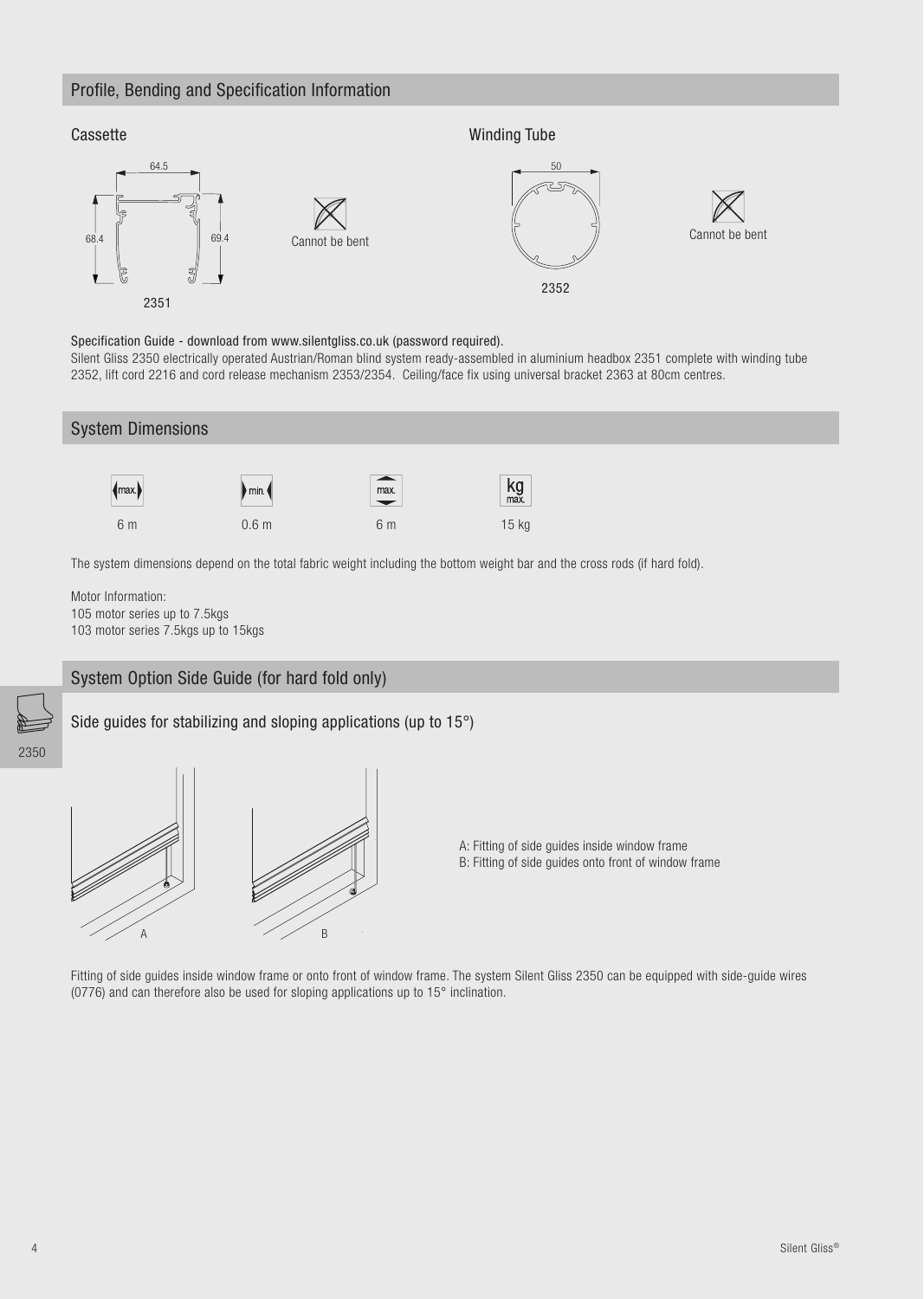#### Profile, Bending and Specification Information



Specification Guide - download from www.silentgliss.co.uk (password required).

Silent Gliss 2350 electrically operated Austrian/Roman blind system ready-assembled in aluminium headbox 2351 complete with winding tube 2352, lift cord 2216 and cord release mechanism 2353/2354. Ceiling/face fix using universal bracket 2363 at 80cm centres.



105 motor series up to 7.5kgs 103 motor series 7.5kgs up to 15kgs

#### System Option Side Guide (for hard fold only)

Side guides for stabilizing and sloping applications (up to 15°)



A: Fitting of side guides inside window frame B: Fitting of side guides onto front of window frame

Fitting of side guides inside window frame or onto front of window frame. The system Silent Gliss 2350 can be equipped with side-guide wires (0776) and can therefore also be used for sloping applications up to 15° inclination.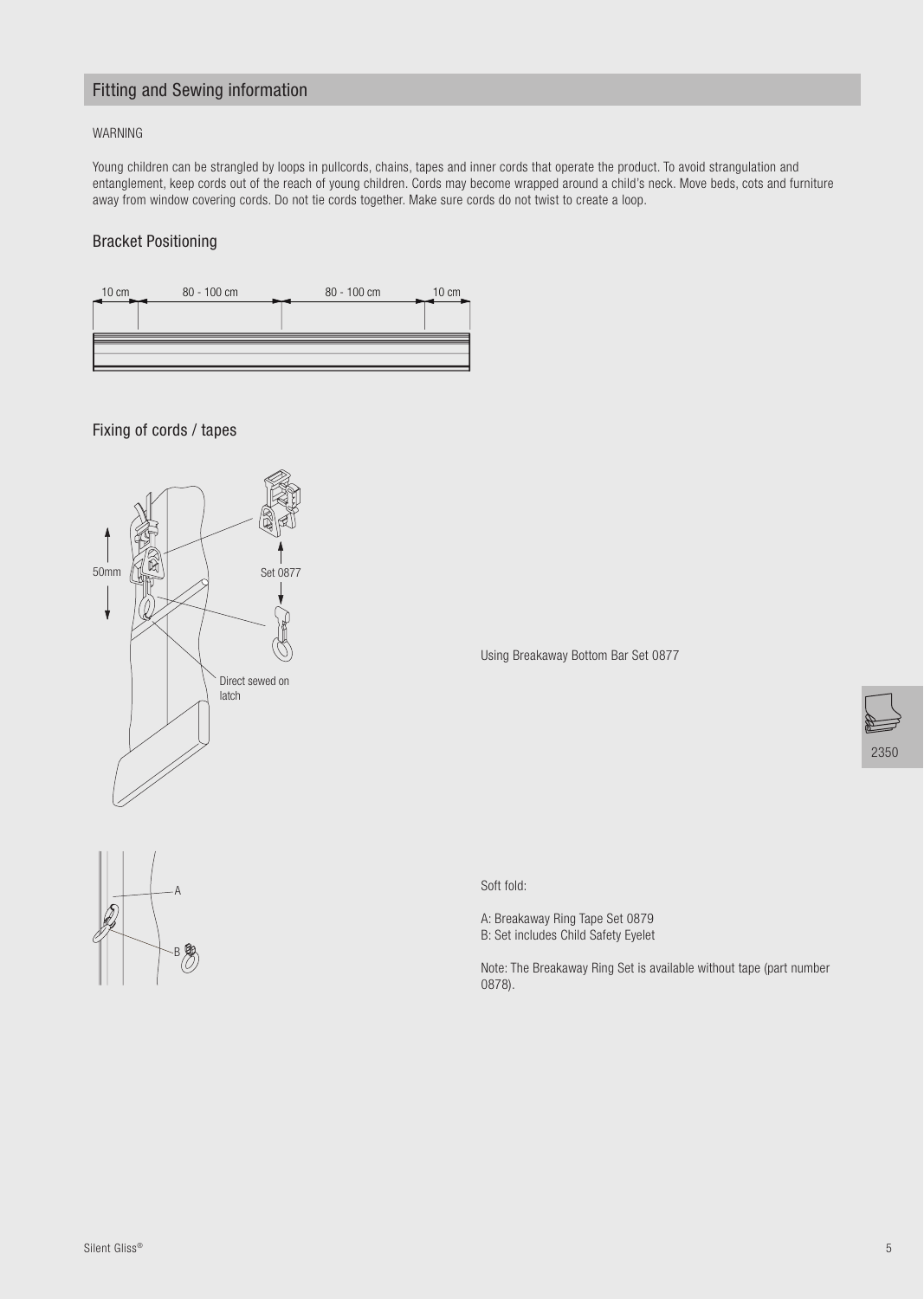## **Fitting and Sewing information**

#### WARNING

Young children can be strangled by loops in pullcords, chains, tapes and inner cords that operate the product. To avoid strangulation and entanglement, keep cords out of the reach of young children. Cords may become wrapped around a child's neck. Move beds, cots and furniture away from window covering cords. Do not tie cords together. Make sure cords do not twist to create a loop.

#### **Bracket Positioning**



Fixing of cords / tapes



Using Breakaway Bottom Bar Set 0877

Soft fold:

A: Breakaway Ring Tape Set 0879 B: Set includes Child Safety Eyelet

Note: The Breakaway Ring Set is available without tape (part number 0878).

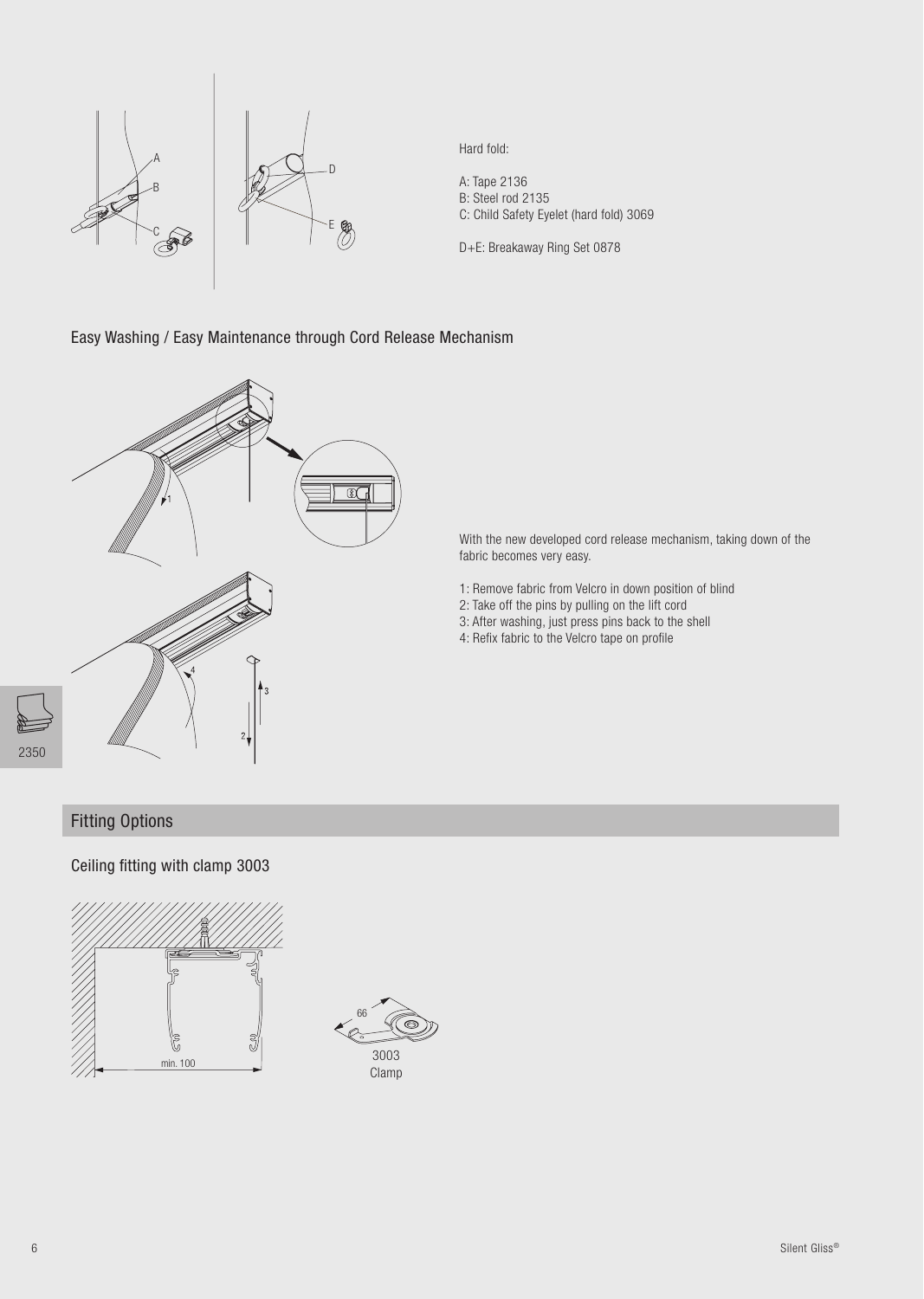

Hard fold:

A: Tape 2136<br>B: Steel rod 2135 C: Child Safety Eyelet (hard fold) 3069

D+E: Breakaway Ring Set 0878

#### Easy Washing / Easy Maintenance through Cord Release Mechanism



With the new developed cord release mechanism, taking down of the fabric becomes very easy.

- 1: Remove fabric from Velcro in down position of blind
- 2: Take off the pins by pulling on the lift cord
- 3: After washing, just press pins back to the shell
- 4: Refix fabric to the Velcro tape on profile

## **Fitting Options**

Ceiling fitting with clamp 3003



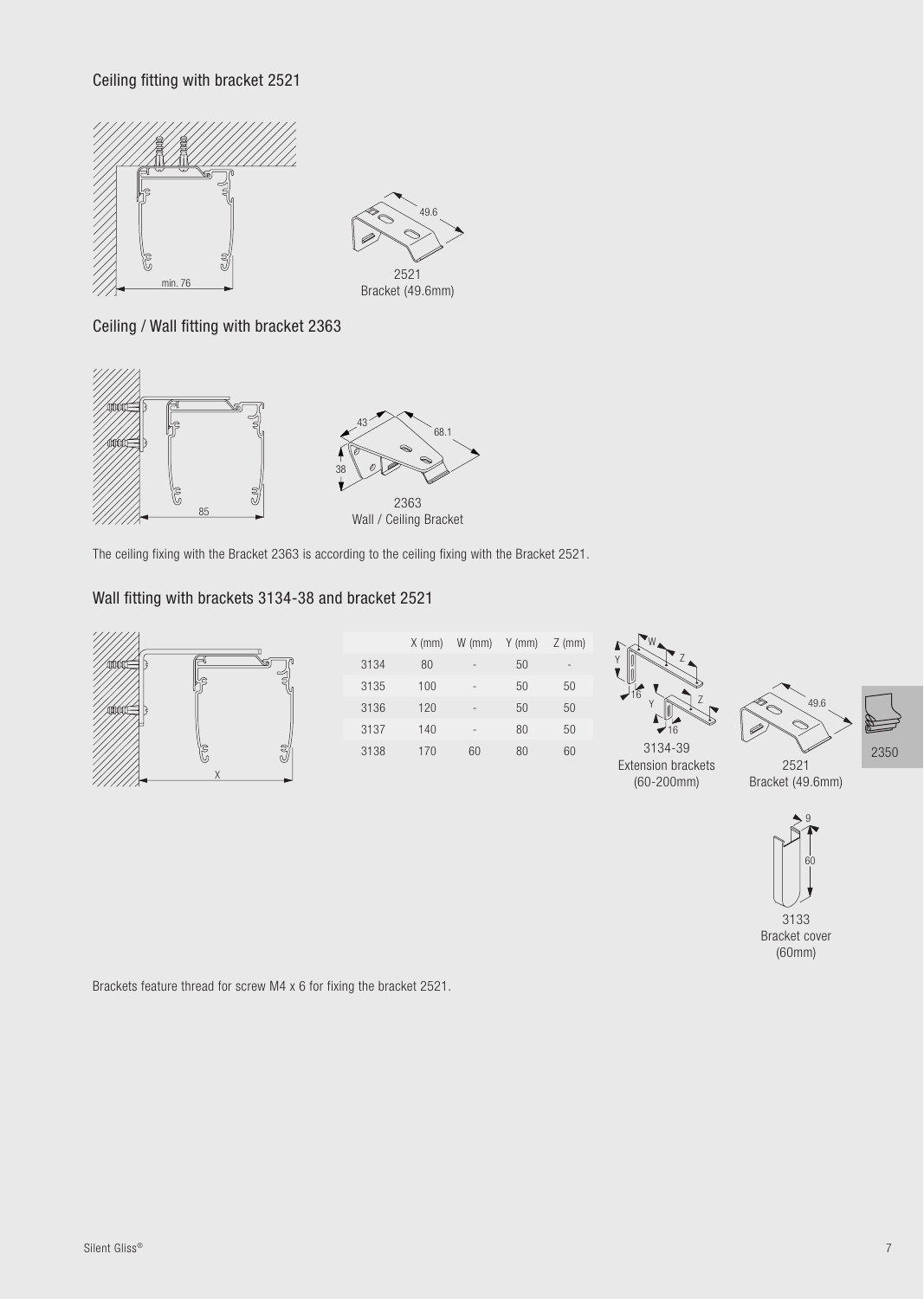Ceiling fitting with bracket 2521





Ceiling / Wall fitting with bracket 2363



The ceiling fixing with the Bracket 2363 is according to the ceiling fixing with the Bracket 2521.

# Wall fitting with brackets 3134-38 and bracket 2521



|      | $X$ (mm) | $W$ (mm)                 | $Y$ (mm) | $Z$ (mm) |
|------|----------|--------------------------|----------|----------|
| 3134 | 80       | ۰                        | 50       | -        |
| 3135 | 100      | $\overline{\phantom{0}}$ | 50       | 50       |
| 3136 | 120      | $\overline{\phantom{0}}$ | 50       | 50       |
| 3137 | 140      | -                        | 80       | 50       |
| 3138 | 170      | 60                       | 80       | 60       |



3134-39



2350

Extension brackets 2521  $(60 - 200$ mm $)$ Bracket (49.6mm)



Brackets feature thread for screw M4 x 6 for fixing the bracket 2521.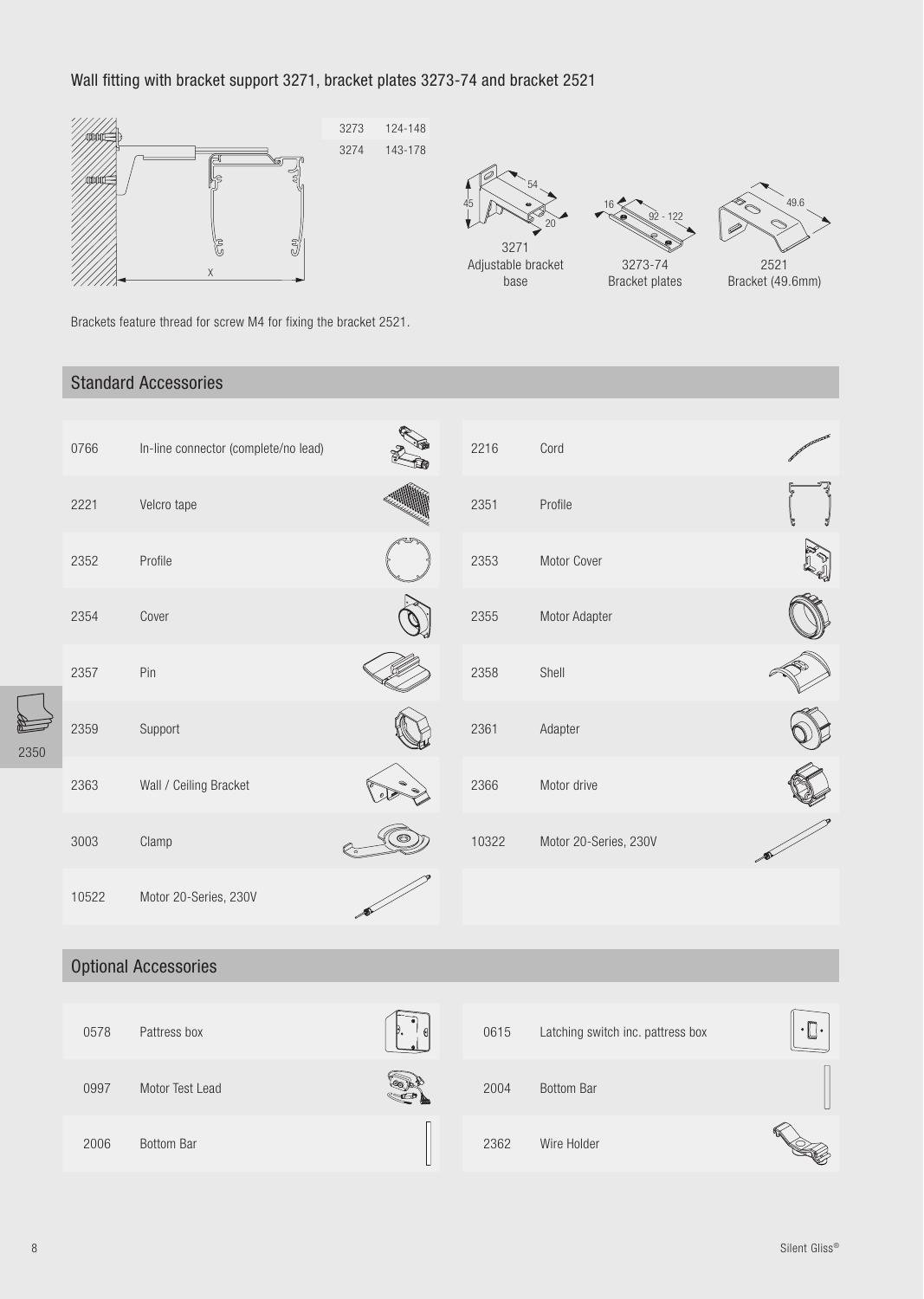# Wall fitting with bracket support 3271, bracket plates 3273-74 and bracket 2521







Bracket plates



Bracket (49.6mm)

Brackets feature thread for screw M4 for fixing the bracket 2521.

# **Standard Accessories**

|                | 0766  | In-line connector (complete/no lead) | 2216  | Cord                  |  |
|----------------|-------|--------------------------------------|-------|-----------------------|--|
|                | 2221  | Velcro tape                          | 2351  | Profile               |  |
|                | 2352  | Profile                              | 2353  | Motor Cover           |  |
|                | 2354  | Cover                                | 2355  | Motor Adapter         |  |
|                | 2357  | Pin                                  | 2358  | Shell                 |  |
| $\overline{0}$ | 2359  | Support                              | 2361  | Adapter               |  |
|                | 2363  | Wall / Ceiling Bracket               | 2366  | Motor drive           |  |
|                | 3003  | Clamp                                | 10322 | Motor 20-Series, 230V |  |
|                | 10522 | Motor 20-Series, 230V                |       |                       |  |
|                |       |                                      |       |                       |  |

# **Optional Accessories**

| 0578 | Pattress box      | $\mathcal{G}$ | 0615 | Latching switch inc. pattress box | <b>P</b><br>$\bullet$<br>$\overline{\phantom{a}}$<br>پ |
|------|-------------------|---------------|------|-----------------------------------|--------------------------------------------------------|
| 0997 | Motor Test Lead   |               | 2004 | <b>Bottom Bar</b>                 |                                                        |
| 2006 | <b>Bottom Bar</b> |               | 2362 | Wire Holder                       |                                                        |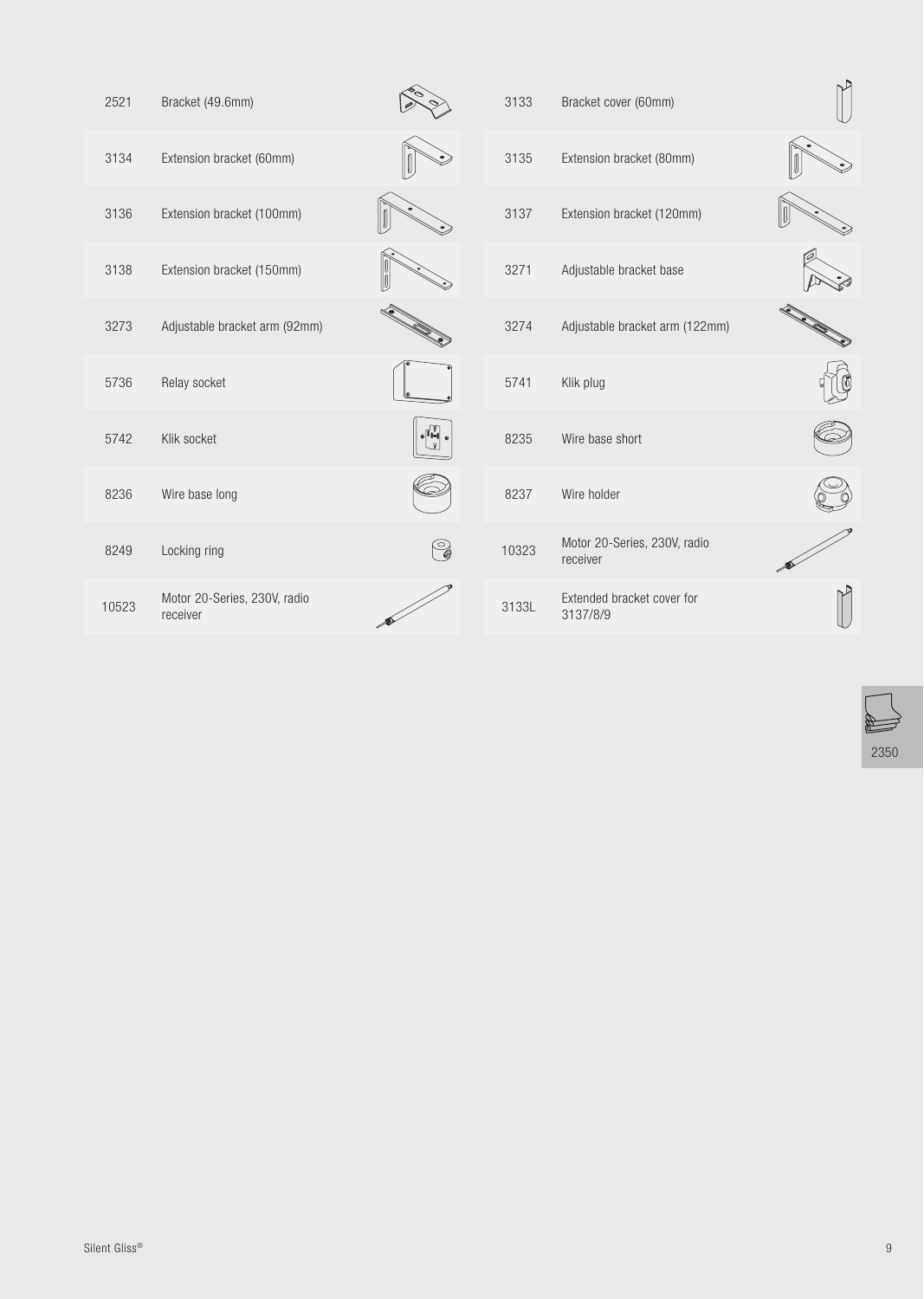| 2521  | Bracket (49.6mm)                         |     | 3133  | Bracket cover (60mm)                     |  |
|-------|------------------------------------------|-----|-------|------------------------------------------|--|
| 3134  | Extension bracket (60mm)                 |     | 3135  | Extension bracket (80mm)                 |  |
| 3136  | Extension bracket (100mm)                |     | 3137  | Extension bracket (120mm)                |  |
| 3138  | Extension bracket (150mm)                |     | 3271  | Adjustable bracket base                  |  |
| 3273  | Adjustable bracket arm (92mm)            |     | 3274  | Adjustable bracket arm (122mm)           |  |
| 5736  | Relay socket                             |     | 5741  | Klik plug                                |  |
| 5742  | Klik socket                              | I H | 8235  | Wire base short                          |  |
| 8236  | Wire base long                           |     | 8237  | Wire holder                              |  |
| 8249  | Locking ring                             | C   | 10323 | Motor 20-Series, 230V, radio<br>receiver |  |
| 10523 | Motor 20-Series, 230V, radio<br>receiver |     | 3133L | Extended bracket cover for<br>3137/8/9   |  |
|       |                                          |     |       |                                          |  |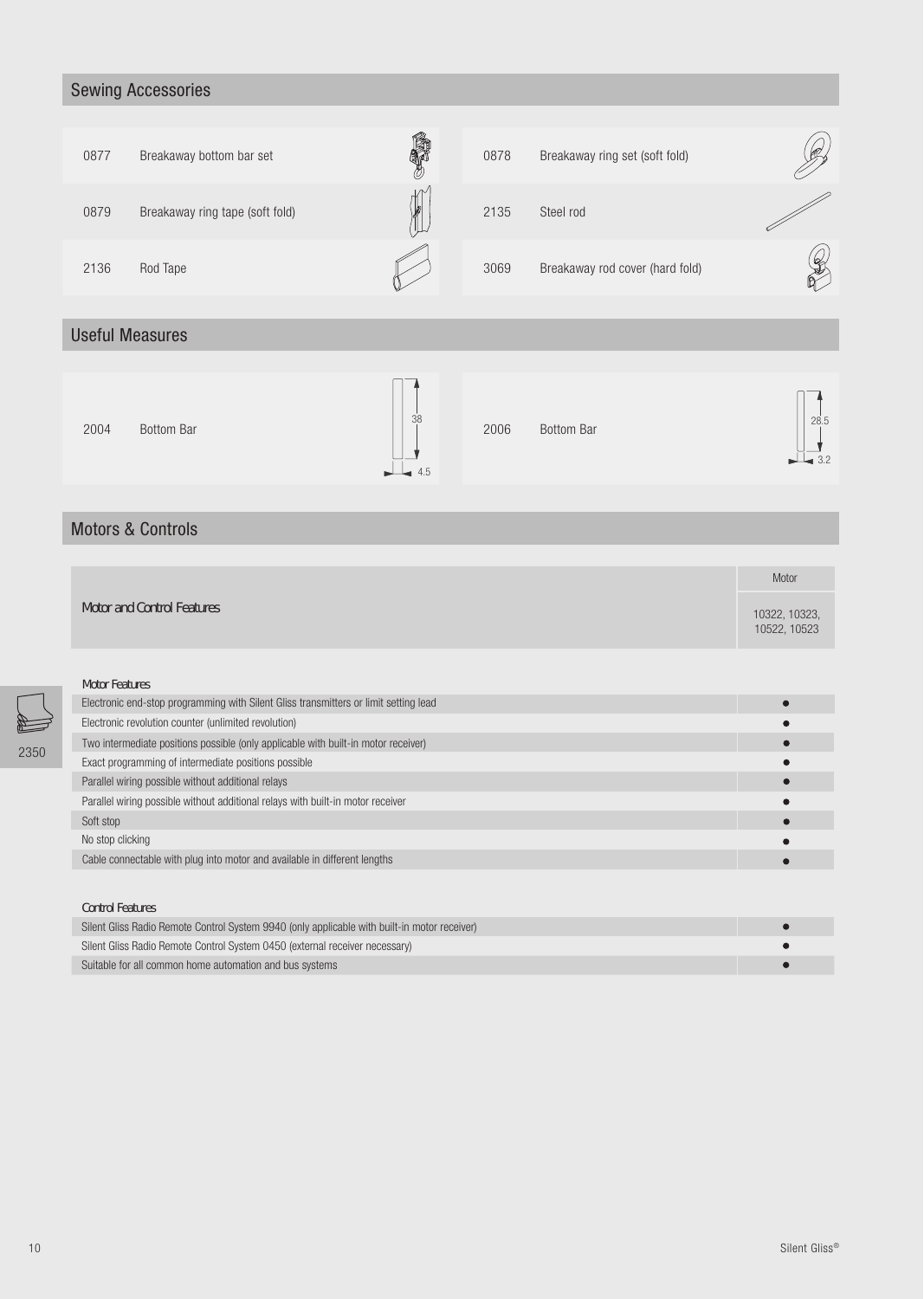# Sewing Accessories



# Useful Measures

| 38<br>2004<br>Bottom Bar<br>$\perp$ 4.5 | 2006 | Bottom Bar<br>__ | 28.5<br>$\overline{\bullet}$ 3.2 |
|-----------------------------------------|------|------------------|----------------------------------|
|-----------------------------------------|------|------------------|----------------------------------|

## Motors & Controls

|                                                                                      | Motor |                               |
|--------------------------------------------------------------------------------------|-------|-------------------------------|
| <b>Motor and Control Features</b>                                                    |       | 10322, 10323,<br>10522, 10523 |
|                                                                                      |       |                               |
| <b>Motor Features</b>                                                                |       |                               |
| Electronic end-stop programming with Silent Gliss transmitters or limit setting lead |       |                               |
| Electronic revolution counter (unlimited revolution)                                 |       |                               |
| Two intermediate positions possible (only applicable with built-in motor receiver)   |       |                               |
| Exact programming of intermediate positions possible                                 |       |                               |
| Parallel wiring possible without additional relays                                   |       |                               |
| Parallel wiring possible without additional relays with built-in motor receiver      |       |                               |
| Soft stop                                                                            |       |                               |
| No stop clicking                                                                     |       |                               |
| Cable connectable with plug into motor and available in different lengths            |       |                               |
|                                                                                      |       |                               |
| <b>Control Features</b>                                                              |       |                               |

| Silent Gliss Radio Remote Control System 9940 (only applicable with built-in motor receiver) |  |
|----------------------------------------------------------------------------------------------|--|
| Silent Gliss Radio Remote Control System 0450 (external receiver necessary)                  |  |
| Suitable for all common home automation and bus systems                                      |  |